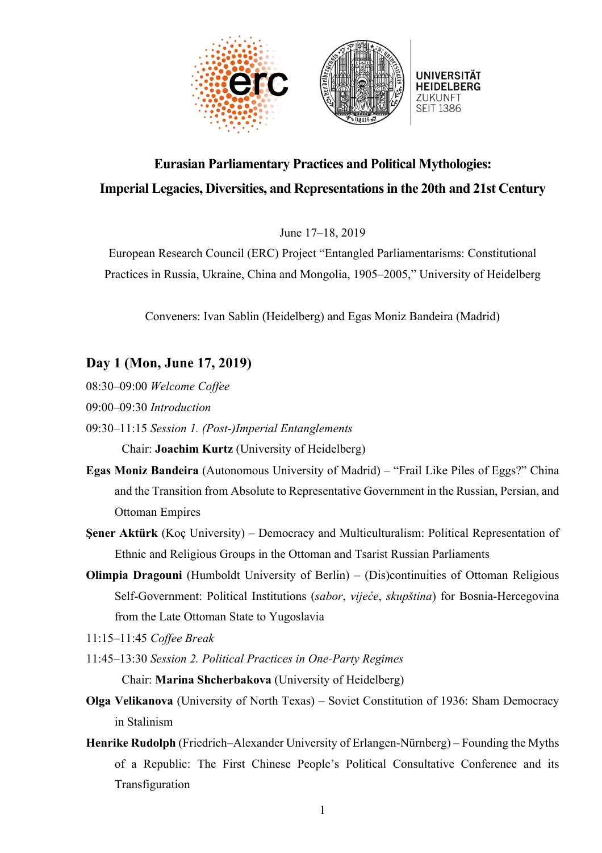

## **Eurasian Parliamentary Practices and Political Mythologies: Imperial Legacies, Diversities, and Representationsin the 20th and 21st Century**

June 17–18, 2019

European Research Council (ERC) Project "Entangled Parliamentarisms: Constitutional Practices in Russia, Ukraine, China and Mongolia, 1905–2005," University of Heidelberg

Conveners: Ivan Sablin (Heidelberg) and Egas Moniz Bandeira (Madrid)

## **Day 1 (Mon, June 17, 2019)**

- 08:30–09:00 *Welcome Coffee*
- 09:00–09:30 *Introduction*
- 09:30–11:15 *Session 1. (Post-)Imperial Entanglements*

Chair: **Joachim Kurtz** (University of Heidelberg)

- **Egas Moniz Bandeira** (Autonomous University of Madrid) "Frail Like Piles of Eggs?" China and the Transition from Absolute to Representative Government in the Russian, Persian, and Ottoman Empires
- **Şener Aktürk** (Koç University) Democracy and Multiculturalism: Political Representation of Ethnic and Religious Groups in the Ottoman and Tsarist Russian Parliaments
- **Olimpia Dragouni** (Humboldt University of Berlin) (Dis)continuities of Ottoman Religious Self-Government: Political Institutions (*sabor*, *vijeće*, *skupština*) for Bosnia-Hercegovina from the Late Ottoman State to Yugoslavia

11:15–11:45 *Coffee Break*

- 11:45–13:30 *Session 2. Political Practices in One-Party Regimes* Chair: **Marina Shcherbakova** (University of Heidelberg)
- **Olga Velikanova** (University of North Texas) Soviet Constitution of 1936: Sham Democracy in Stalinism
- **Henrike Rudolph** (Friedrich–Alexander University of Erlangen-Nürnberg) Founding the Myths of a Republic: The First Chinese People's Political Consultative Conference and its Transfiguration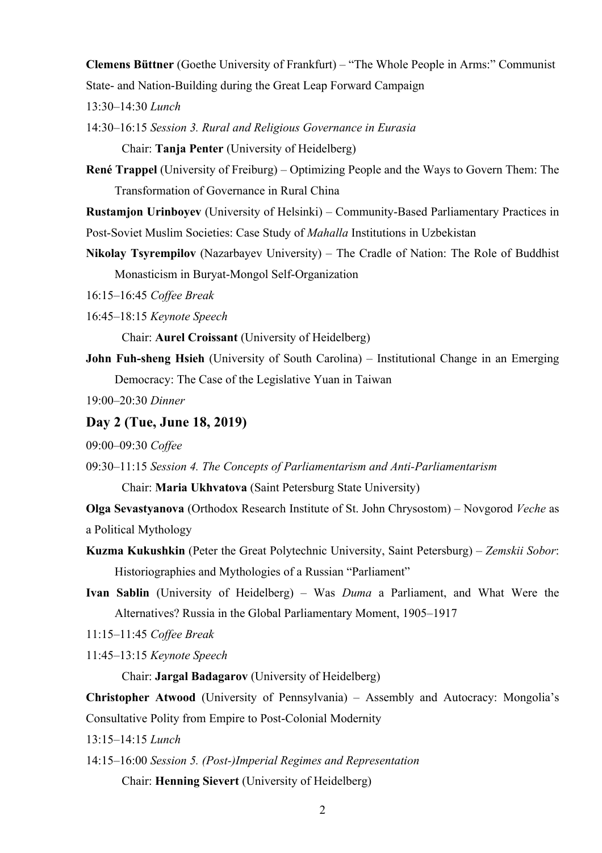**Clemens Büttner** (Goethe University of Frankfurt) – "The Whole People in Arms:" Communist State- and Nation-Building during the Great Leap Forward Campaign

13:30–14:30 *Lunch*

14:30–16:15 *Session 3. Rural and Religious Governance in Eurasia* Chair: **Tanja Penter** (University of Heidelberg)

**René Trappel** (University of Freiburg) – Optimizing People and the Ways to Govern Them: The Transformation of Governance in Rural China

**Rustamjon Urinboyev** (University of Helsinki) – Community-Based Parliamentary Practices in Post-Soviet Muslim Societies: Case Study of *Mahalla* Institutions in Uzbekistan

**Nikolay Tsyrempilov** (Nazarbayev University) – The Cradle of Nation: The Role of Buddhist Monasticism in Buryat-Mongol Self-Organization

16:15–16:45 *Coffee Break*

16:45–18:15 *Keynote Speech*

Chair: **Aurel Croissant** (University of Heidelberg)

**John Fuh-sheng Hsieh** (University of South Carolina) – Institutional Change in an Emerging Democracy: The Case of the Legislative Yuan in Taiwan

19:00–20:30 *Dinner*

## **Day 2 (Tue, June 18, 2019)**

09:00–09:30 *Coffee*

09:30–11:15 *Session 4. The Concepts of Parliamentarism and Anti-Parliamentarism*

Chair: **Maria Ukhvatova** (Saint Petersburg State University)

**Olga Sevastyanova** (Orthodox Research Institute of St. John Chrysostom) – Novgorod *Veche* as a Political Mythology

**Kuzma Kukushkin** (Peter the Great Polytechnic University, Saint Petersburg) – *Zemskii Sobor*: Historiographies and Mythologies of a Russian "Parliament"

**Ivan Sablin** (University of Heidelberg) – Was *Duma* a Parliament, and What Were the Alternatives? Russia in the Global Parliamentary Moment, 1905–1917

11:15–11:45 *Coffee Break*

11:45–13:15 *Keynote Speech*

Chair: **Jargal Badagarov** (University of Heidelberg)

**Christopher Atwood** (University of Pennsylvania) – Assembly and Autocracy: Mongolia's Consultative Polity from Empire to Post-Colonial Modernity

13:15–14:15 *Lunch*

14:15–16:00 *Session 5. (Post-)Imperial Regimes and Representation* Chair: **Henning Sievert** (University of Heidelberg)